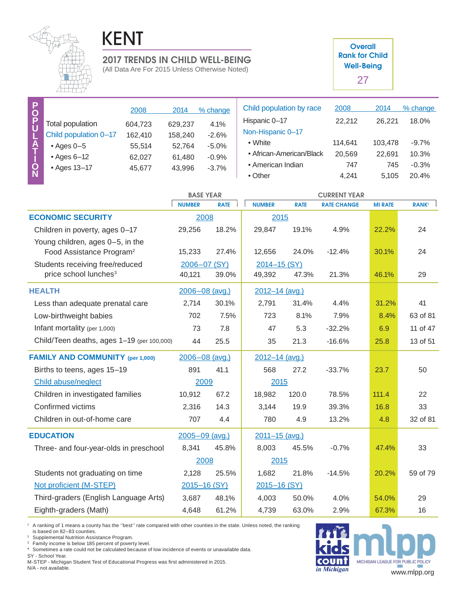

## KENT

## **Well-Being 2017 TRENDS IN CHILD WELL-BEING**

(All Data Are For 2015 Unless Otherwise Noted)

**Overall Rank for Child** 27

| P<br>$\overline{Q}$     |                       | 2008                        | 2014              | % change         | Child population by race | 2008    | 2014    | % change |
|-------------------------|-----------------------|-----------------------------|-------------------|------------------|--------------------------|---------|---------|----------|
| Ù                       | Total population      | 604,723                     | 629,237           | 4.1%             | Hispanic 0-17            | 22,212  | 26.221  | 18.0%    |
| 노<br>수<br>$\frac{1}{N}$ | Child population 0-17 | 162,410                     | 158,240           | $-2.6%$          | Non-Hispanic 0-17        |         |         |          |
|                         | $\bullet$ Ages 0-5    | 55,514                      | 52,764            | $-5.0%$          | • White                  | 114.641 | 103.478 | $-9.7%$  |
|                         | $\cdot$ Ages 6-12     | 62,027                      | 61,480            | $-0.9%$          | • African-American/Black | 20,569  | 22,691  | 10.3%    |
|                         | • Ages 13-17          | 43,996<br>$-3.7%$<br>45,677 | • American Indian | 747              | 745                      | $-0.3%$ |         |          |
|                         |                       |                             |                   |                  | $\bullet$ Other          | 4.241   | 5,105   | 20.4%    |
|                         |                       |                             |                   | <b>BASE YEAR</b> | <b>CURRENT YEAR</b>      |         |         |          |

|                                            | <b>NUMBER</b>  | <b>RATE</b> | <b>NUMBER</b>  | <b>RATE</b> | <b>RATE CHANGE</b> | <b>MI RATE</b> | <b>RANK</b> |
|--------------------------------------------|----------------|-------------|----------------|-------------|--------------------|----------------|-------------|
| <b>ECONOMIC SECURITY</b>                   | 2008           |             | 2015           |             |                    |                |             |
| Children in poverty, ages 0-17             | 29,256         | 18.2%       | 29,847         | 19.1%       | 4.9%               | 22.2%          | 24          |
| Young children, ages 0-5, in the           |                |             |                |             |                    |                |             |
| Food Assistance Program <sup>2</sup>       | 15,233         | 27.4%       | 12,656         | 24.0%       | $-12.4%$           | 30.1%          | 24          |
| Students receiving free/reduced            | 2006-07 (SY)   |             | 2014-15 (SY)   |             |                    |                |             |
| price school lunches <sup>3</sup>          | 40,121         | 39.0%       | 49,392         | 47.3%       | 21.3%              | 46.1%          | 29          |
| <b>HEALTH</b>                              | 2006-08 (avg.) |             | 2012-14 (avg.) |             |                    |                |             |
| Less than adequate prenatal care           | 2,714          | 30.1%       | 2,791          | 31.4%       | 4.4%               | 31.2%          | 41          |
| Low-birthweight babies                     | 702            | 7.5%        | 723            | 8.1%        | 7.9%               | 8.4%           | 63 of 81    |
| Infant mortality (per 1,000)               | 73             | 7.8         | 47             | 5.3         | $-32.2%$           | 6.9            | 11 of 47    |
| Child/Teen deaths, ages 1-19 (per 100,000) | 44             | 25.5        | 35             | 21.3        | $-16.6%$           | 25.8           | 13 of 51    |
| <b>FAMILY AND COMMUNITY (per 1,000)</b>    | 2006-08 (avg.) |             | 2012-14 (avg.) |             |                    |                |             |
| Births to teens, ages 15-19                | 891            | 41.1        | 568            | 27.2        | $-33.7%$           | 23.7           | 50          |
| Child abuse/neglect                        | 2009           |             | 2015           |             |                    |                |             |
| Children in investigated families          | 10,912         | 67.2        | 18,982         | 120.0       | 78.5%              | 111.4          | 22          |
| Confirmed victims                          | 2,316          | 14.3        | 3,144          | 19.9        | 39.3%              | 16.8           | 33          |
| Children in out-of-home care               | 707            | 4.4         | 780            | 4.9         | 13.2%              | 4.8            | 32 of 81    |
| <b>EDUCATION</b>                           | 2005-09 (avg.) |             | 2011-15 (avg.) |             |                    |                |             |
| Three- and four-year-olds in preschool     | 8,341          | 45.8%       | 8,003          | 45.5%       | $-0.7%$            | 47.4%          | 33          |
|                                            | 2008           |             | 2015           |             |                    |                |             |
| Students not graduating on time            | 2,128          | 25.5%       | 1,682          | 21.8%       | $-14.5%$           | 20.2%          | 59 of 79    |
| Not proficient (M-STEP)                    | 2015-16 (SY)   |             | 2015-16 (SY)   |             |                    |                |             |
| Third-graders (English Language Arts)      | 3,687          | 48.1%       | 4,003          | 50.0%       | 4.0%               | 54.0%          | 29          |
| Eighth-graders (Math)                      | 4,648          | 61.2%       | 4,739          | 63.0%       | 2.9%               | 67.3%          | 16          |

1 A ranking of 1 means a county has the ''best'' rate compared with other counties in the state. Unless noted, the ranking

is based on 82–83 counties.

<sup>2</sup> Supplemental Nutrition Assistance Program.<br><sup>3</sup> Family income is below 185 percent of poverty level.

\* Sometimes a rate could not be calculated because of low incidence of events or unavailable data.

SY - School Year. M-STEP - Michigan Student Test of Educational Progress was first administered in 2015.